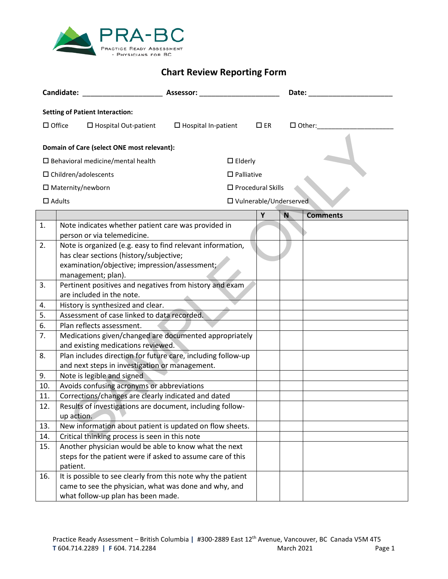

## **Chart Review Reporting Form**

| Candidate:                                  |                                            | <b>Assessor:</b>              |                          |              | Date:         |  |  |
|---------------------------------------------|--------------------------------------------|-------------------------------|--------------------------|--------------|---------------|--|--|
| <b>Setting of Patient Interaction:</b>      |                                            |                               |                          |              |               |  |  |
| $\Box$ Office                               | $\Box$ Hospital Out-patient                | $\Box$ Hospital In-patient    |                          | $\square$ ER | $\Box$ Other: |  |  |
|                                             | Domain of Care (select ONE most relevant): |                               |                          |              |               |  |  |
| $\square$ Behavioral medicine/mental health |                                            | $\Box$ Elderly                |                          |              |               |  |  |
| $\Box$ Children/adolescents                 |                                            |                               | $\Box$ Palliative        |              |               |  |  |
| $\Box$ Maternity/newborn                    |                                            |                               | $\Box$ Procedural Skills |              |               |  |  |
| $\Box$ Adults                               |                                            | $\Box$ Vulnerable/Underserved |                          |              |               |  |  |

|                                             | Domain of Care (select ONE most relevant):                   |                          |   |   |                 |
|---------------------------------------------|--------------------------------------------------------------|--------------------------|---|---|-----------------|
| $\square$ Behavioral medicine/mental health |                                                              | $\Box$ Elderly           |   |   |                 |
| $\Box$ Children/adolescents                 |                                                              | $\square$ Palliative     |   |   |                 |
| $\Box$ Maternity/newborn                    |                                                              | $\Box$ Procedural Skills |   |   |                 |
| $\square$ Adults                            |                                                              | □ Vulnerable/Underserved |   |   |                 |
|                                             |                                                              |                          | Y |   | <b>Comments</b> |
| 1.                                          | Note indicates whether patient care was provided in          |                          |   | N |                 |
|                                             | person or via telemedicine.                                  |                          |   |   |                 |
| 2.                                          | Note is organized (e.g. easy to find relevant information,   |                          |   |   |                 |
|                                             | has clear sections (history/subjective;                      |                          |   |   |                 |
|                                             | examination/objective; impression/assessment;                |                          |   |   |                 |
|                                             | management; plan).                                           |                          |   |   |                 |
| 3.                                          | Pertinent positives and negatives from history and exam      |                          |   |   |                 |
|                                             | are included in the note.                                    |                          |   |   |                 |
| 4.                                          | History is synthesized and clear.                            |                          |   |   |                 |
| 5.                                          | Assessment of case linked to data recorded.                  |                          |   |   |                 |
| 6.                                          | Plan reflects assessment.                                    |                          |   |   |                 |
| 7.                                          | Medications given/changed are documented appropriately       |                          |   |   |                 |
|                                             | and existing medications reviewed.                           |                          |   |   |                 |
| 8.                                          | Plan includes direction for future care, including follow-up |                          |   |   |                 |
|                                             | and next steps in investigation or management.               |                          |   |   |                 |
| 9.                                          | Note is legible and signed                                   |                          |   |   |                 |
| 10.                                         | Avoids confusing acronyms or abbreviations                   |                          |   |   |                 |
| 11.                                         | Corrections/changes are clearly indicated and dated          |                          |   |   |                 |
| 12.                                         | Results of investigations are document, including follow-    |                          |   |   |                 |
|                                             | up action.                                                   |                          |   |   |                 |
| 13.                                         | New information about patient is updated on flow sheets.     |                          |   |   |                 |
| 14.                                         | Critical thinking process is seen in this note               |                          |   |   |                 |
| 15.                                         | Another physician would be able to know what the next        |                          |   |   |                 |
|                                             | steps for the patient were if asked to assume care of this   |                          |   |   |                 |
|                                             | patient.                                                     |                          |   |   |                 |
| 16.                                         | It is possible to see clearly from this note why the patient |                          |   |   |                 |
|                                             | came to see the physician, what was done and why, and        |                          |   |   |                 |
|                                             | what follow-up plan has been made.                           |                          |   |   |                 |